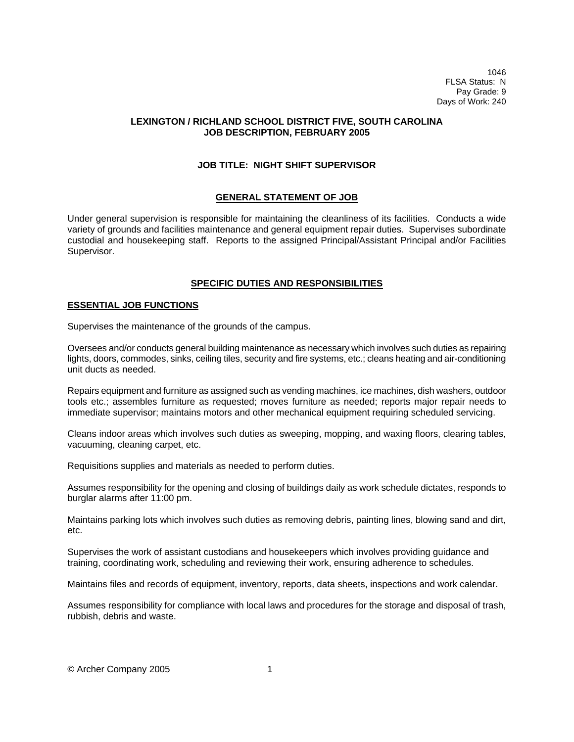1046 FLSA Status: N Pay Grade: 9 Days of Work: 240

# **LEXINGTON / RICHLAND SCHOOL DISTRICT FIVE, SOUTH CAROLINA JOB DESCRIPTION, FEBRUARY 2005**

# **JOB TITLE: NIGHT SHIFT SUPERVISOR**

## **GENERAL STATEMENT OF JOB**

Under general supervision is responsible for maintaining the cleanliness of its facilities. Conducts a wide variety of grounds and facilities maintenance and general equipment repair duties. Supervises subordinate custodial and housekeeping staff. Reports to the assigned Principal/Assistant Principal and/or Facilities Supervisor.

# **SPECIFIC DUTIES AND RESPONSIBILITIES**

#### **ESSENTIAL JOB FUNCTIONS**

Supervises the maintenance of the grounds of the campus.

Oversees and/or conducts general building maintenance as necessary which involves such duties as repairing lights, doors, commodes, sinks, ceiling tiles, security and fire systems, etc.; cleans heating and air-conditioning unit ducts as needed.

Repairs equipment and furniture as assigned such as vending machines, ice machines, dish washers, outdoor tools etc.; assembles furniture as requested; moves furniture as needed; reports major repair needs to immediate supervisor; maintains motors and other mechanical equipment requiring scheduled servicing.

Cleans indoor areas which involves such duties as sweeping, mopping, and waxing floors, clearing tables, vacuuming, cleaning carpet, etc.

Requisitions supplies and materials as needed to perform duties.

Assumes responsibility for the opening and closing of buildings daily as work schedule dictates, responds to burglar alarms after 11:00 pm.

Maintains parking lots which involves such duties as removing debris, painting lines, blowing sand and dirt, etc.

Supervises the work of assistant custodians and housekeepers which involves providing guidance and training, coordinating work, scheduling and reviewing their work, ensuring adherence to schedules.

Maintains files and records of equipment, inventory, reports, data sheets, inspections and work calendar.

Assumes responsibility for compliance with local laws and procedures for the storage and disposal of trash, rubbish, debris and waste.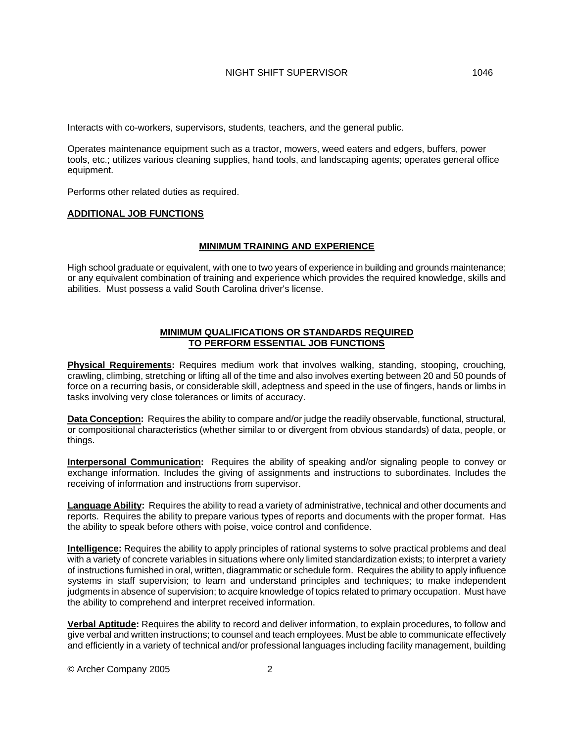Interacts with co-workers, supervisors, students, teachers, and the general public.

Operates maintenance equipment such as a tractor, mowers, weed eaters and edgers, buffers, power tools, etc.; utilizes various cleaning supplies, hand tools, and landscaping agents; operates general office equipment.

Performs other related duties as required.

## **ADDITIONAL JOB FUNCTIONS**

#### **MINIMUM TRAINING AND EXPERIENCE**

High school graduate or equivalent, with one to two years of experience in building and grounds maintenance; or any equivalent combination of training and experience which provides the required knowledge, skills and abilities. Must possess a valid South Carolina driver's license.

## **MINIMUM QUALIFICATIONS OR STANDARDS REQUIRED TO PERFORM ESSENTIAL JOB FUNCTIONS**

**Physical Requirements:** Requires medium work that involves walking, standing, stooping, crouching, crawling, climbing, stretching or lifting all of the time and also involves exerting between 20 and 50 pounds of force on a recurring basis, or considerable skill, adeptness and speed in the use of fingers, hands or limbs in tasks involving very close tolerances or limits of accuracy.

**Data Conception:** Requires the ability to compare and/or judge the readily observable, functional, structural, or compositional characteristics (whether similar to or divergent from obvious standards) of data, people, or things.

**Interpersonal Communication:** Requires the ability of speaking and/or signaling people to convey or exchange information. Includes the giving of assignments and instructions to subordinates. Includes the receiving of information and instructions from supervisor.

**Language Ability:** Requires the ability to read a variety of administrative, technical and other documents and reports. Requires the ability to prepare various types of reports and documents with the proper format. Has the ability to speak before others with poise, voice control and confidence.

**Intelligence:** Requires the ability to apply principles of rational systems to solve practical problems and deal with a variety of concrete variables in situations where only limited standardization exists; to interpret a variety of instructions furnished in oral, written, diagrammatic or schedule form. Requires the ability to apply influence systems in staff supervision; to learn and understand principles and techniques; to make independent judgments in absence of supervision; to acquire knowledge of topics related to primary occupation. Must have the ability to comprehend and interpret received information.

**Verbal Aptitude:** Requires the ability to record and deliver information, to explain procedures, to follow and give verbal and written instructions; to counsel and teach employees. Must be able to communicate effectively and efficiently in a variety of technical and/or professional languages including facility management, building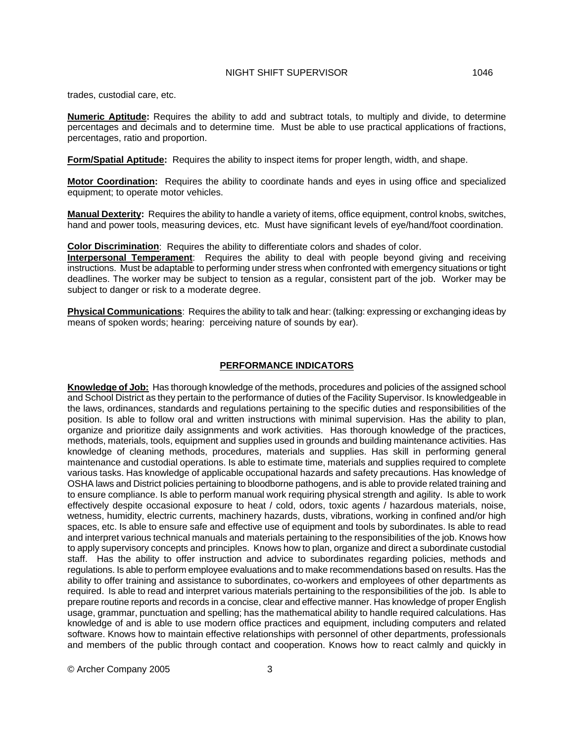trades, custodial care, etc.

**Numeric Aptitude:** Requires the ability to add and subtract totals, to multiply and divide, to determine percentages and decimals and to determine time. Must be able to use practical applications of fractions, percentages, ratio and proportion.

**Form/Spatial Aptitude:** Requires the ability to inspect items for proper length, width, and shape.

**Motor Coordination:** Requires the ability to coordinate hands and eyes in using office and specialized equipment; to operate motor vehicles.

**Manual Dexterity:** Requires the ability to handle a variety of items, office equipment, control knobs, switches, hand and power tools, measuring devices, etc. Must have significant levels of eye/hand/foot coordination.

**Color Discrimination**: Requires the ability to differentiate colors and shades of color.

**Interpersonal Temperament**: Requires the ability to deal with people beyond giving and receiving instructions. Must be adaptable to performing under stress when confronted with emergency situations or tight deadlines. The worker may be subject to tension as a regular, consistent part of the job. Worker may be subject to danger or risk to a moderate degree.

**Physical Communications**: Requires the ability to talk and hear: (talking: expressing or exchanging ideas by means of spoken words; hearing: perceiving nature of sounds by ear).

# **PERFORMANCE INDICATORS**

**Knowledge of Job:** Has thorough knowledge of the methods, procedures and policies of the assigned school and School District as they pertain to the performance of duties of the Facility Supervisor. Is knowledgeable in the laws, ordinances, standards and regulations pertaining to the specific duties and responsibilities of the position. Is able to follow oral and written instructions with minimal supervision. Has the ability to plan, organize and prioritize daily assignments and work activities. Has thorough knowledge of the practices, methods, materials, tools, equipment and supplies used in grounds and building maintenance activities. Has knowledge of cleaning methods, procedures, materials and supplies. Has skill in performing general maintenance and custodial operations. Is able to estimate time, materials and supplies required to complete various tasks. Has knowledge of applicable occupational hazards and safety precautions. Has knowledge of OSHA laws and District policies pertaining to bloodborne pathogens, and is able to provide related training and to ensure compliance. Is able to perform manual work requiring physical strength and agility. Is able to work effectively despite occasional exposure to heat / cold, odors, toxic agents / hazardous materials, noise, wetness, humidity, electric currents, machinery hazards, dusts, vibrations, working in confined and/or high spaces, etc. Is able to ensure safe and effective use of equipment and tools by subordinates. Is able to read and interpret various technical manuals and materials pertaining to the responsibilities of the job. Knows how to apply supervisory concepts and principles. Knows how to plan, organize and direct a subordinate custodial staff. Has the ability to offer instruction and advice to subordinates regarding policies, methods and regulations. Is able to perform employee evaluations and to make recommendations based on results. Has the ability to offer training and assistance to subordinates, co-workers and employees of other departments as required. Is able to read and interpret various materials pertaining to the responsibilities of the job. Is able to prepare routine reports and records in a concise, clear and effective manner. Has knowledge of proper English usage, grammar, punctuation and spelling; has the mathematical ability to handle required calculations. Has knowledge of and is able to use modern office practices and equipment, including computers and related software. Knows how to maintain effective relationships with personnel of other departments, professionals and members of the public through contact and cooperation. Knows how to react calmly and quickly in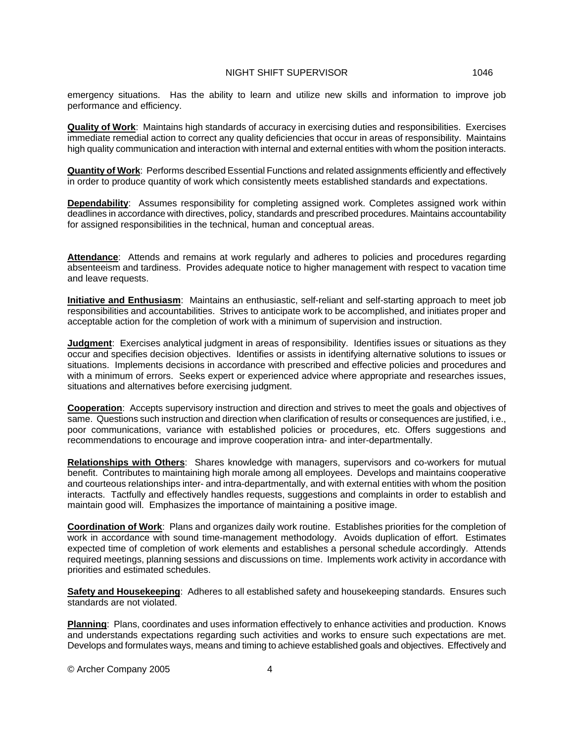emergency situations. Has the ability to learn and utilize new skills and information to improve job performance and efficiency.

**Quality of Work**: Maintains high standards of accuracy in exercising duties and responsibilities. Exercises immediate remedial action to correct any quality deficiencies that occur in areas of responsibility. Maintains high quality communication and interaction with internal and external entities with whom the position interacts.

**Quantity of Work**: Performs described Essential Functions and related assignments efficiently and effectively in order to produce quantity of work which consistently meets established standards and expectations.

**Dependability**: Assumes responsibility for completing assigned work. Completes assigned work within deadlines in accordance with directives, policy, standards and prescribed procedures. Maintains accountability for assigned responsibilities in the technical, human and conceptual areas.

**Attendance**: Attends and remains at work regularly and adheres to policies and procedures regarding absenteeism and tardiness. Provides adequate notice to higher management with respect to vacation time and leave requests.

**Initiative and Enthusiasm**: Maintains an enthusiastic, self-reliant and self-starting approach to meet job responsibilities and accountabilities. Strives to anticipate work to be accomplished, and initiates proper and acceptable action for the completion of work with a minimum of supervision and instruction.

**Judgment**: Exercises analytical judgment in areas of responsibility. Identifies issues or situations as they occur and specifies decision objectives. Identifies or assists in identifying alternative solutions to issues or situations. Implements decisions in accordance with prescribed and effective policies and procedures and with a minimum of errors. Seeks expert or experienced advice where appropriate and researches issues, situations and alternatives before exercising judgment.

**Cooperation**: Accepts supervisory instruction and direction and strives to meet the goals and objectives of same. Questions such instruction and direction when clarification of results or consequences are justified, i.e., poor communications, variance with established policies or procedures, etc. Offers suggestions and recommendations to encourage and improve cooperation intra- and inter-departmentally.

**Relationships with Others**: Shares knowledge with managers, supervisors and co-workers for mutual benefit. Contributes to maintaining high morale among all employees. Develops and maintains cooperative and courteous relationships inter- and intra-departmentally, and with external entities with whom the position interacts. Tactfully and effectively handles requests, suggestions and complaints in order to establish and maintain good will. Emphasizes the importance of maintaining a positive image.

**Coordination of Work**: Plans and organizes daily work routine. Establishes priorities for the completion of work in accordance with sound time-management methodology. Avoids duplication of effort. Estimates expected time of completion of work elements and establishes a personal schedule accordingly. Attends required meetings, planning sessions and discussions on time. Implements work activity in accordance with priorities and estimated schedules.

**Safety and Housekeeping**: Adheres to all established safety and housekeeping standards. Ensures such standards are not violated.

**Planning**: Plans, coordinates and uses information effectively to enhance activities and production. Knows and understands expectations regarding such activities and works to ensure such expectations are met. Develops and formulates ways, means and timing to achieve established goals and objectives. Effectively and